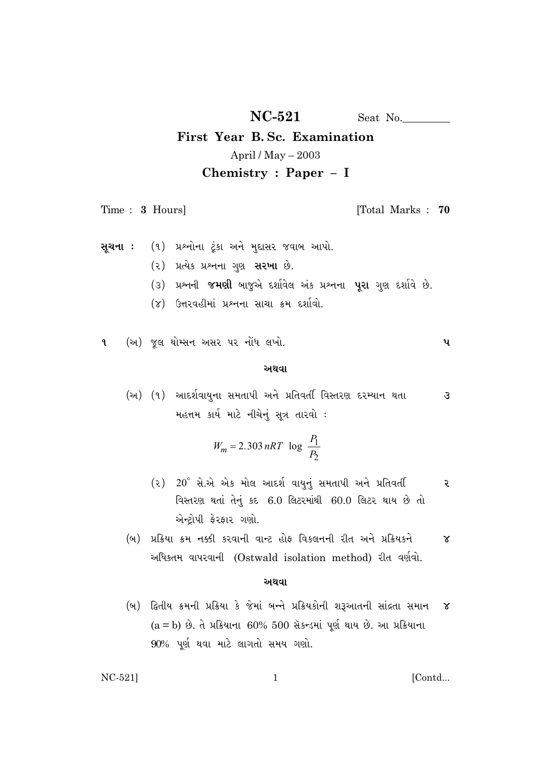$NC-521$ Seat No.

# First Year B.Sc. Examination April / May  $-2003$ Chemistry : Paper - I

Time: 3 Hours]

[Total Marks: 70

પ

- (૧) પ્રશ્નોના ટૂંકા અને મુદ્દાસર જવાબ આપો. સૂચના:
	- (૨) પ્રત્યેક પ્રશ્નના ગુણ સરખા છે.
	- (૩) પ્રશ્નની જમણી બાજુએ દર્શાવેલ અંક પ્રશ્નના પૂરા ગુણ દર્શાવે છે.
	- (૪) ઉત્તરવહીમાં પ્રશ્નના સાચા ક્રમ દર્શાવો.

(અ) જુલ થોમ્સન અસર પર નોંધ લખો.  $\mathbf{q}$ 

### અથવા

(અ) (૧) આદર્શવાયુના સમતાપી અને પ્રતિવર્તી વિસ્તરણ દરમ્યાન થતા  $\mathcal{L}$ મહત્તમ કાર્ય માટે નીચેનું સૂત્ર તારવો :

$$
W_m = 2.303 \, nRT \log \frac{P_1}{P_2}
$$

- $(2)$  20° સે.એ એક મોલ આદર્શ વાયુનું સમતાપી અને પ્રતિવર્તી ૨ વિસ્તરણ થતાં તેનું કદ 6.0 લિટરમાંથી 60.0 લિટર થાય છે તો એન્ટ્રોપી ફેરફાર ગણો.
- (બ) પ્રક્રિયા ક્રમ નક્કી કરવાની વાન્ટ હોફ વિકલનની રીત અને પ્રક્રિયકને  $\alpha$ અધિકતમ વાપરવાની (Ostwald isolation method) રીત વર્ણવો.

### અથવા

 $\mathbf{1}$ 

(બ) દ્વિતીય ક્રમની પ્રક્રિયા કે જેમાં બન્ને પ્રક્રિયકોની શરૂઆતની સાંદ્રતા સમાન  $\alpha$  $(a = b)$  છે. તે પ્રક્રિયાના 60% 500 સૅકન્ડમાં પૂર્ણ થાય છે. આ પ્રક્રિયાના  $90\%$  પૂર્ણ થવા માટે લાગતો સમય ગણો.

 $NC-521$ 

### [Contd...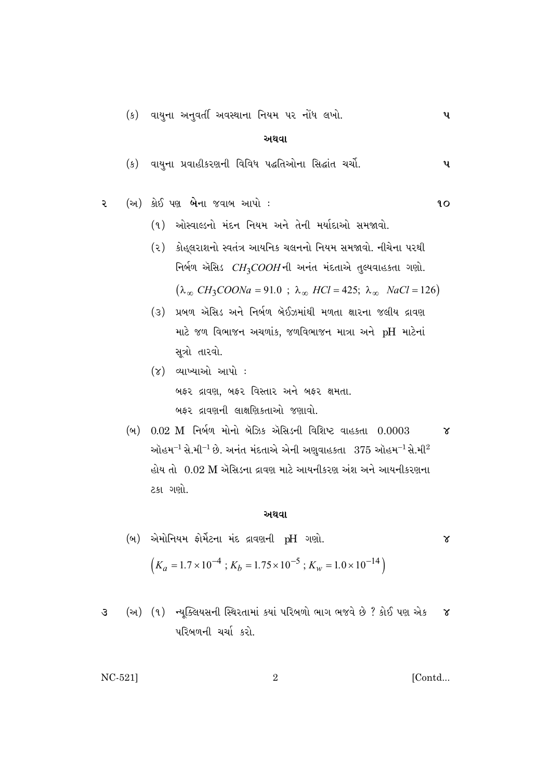(ક) વાયુના અનુવર્તી અવસ્થાના નિયમ પર નોંધ લખો. **૫** 

**±◊‰Î**

(ક) વાયુના પ્રવાહીકરણની વિવિધ પદ્ધતિઓના સિદ્ધાંત ચર્ચો. **૫** 

$$
2 \qquad (\n $\omega$ ) \n $\dot{3}t\dot{5}t\dot{9}t\dot{9}t\dot{1}t\dot{1}t\dot{3}t\dot{1}t\dot{1}t\dot{1}t\dot{1}t\dot{1}t\dot{1}t\dot{1}t\dot{1}t\dot{1}t\dot{1}t\dot{1}t\dot{1}t\dot{1}t\dot{1}t\dot{1}t\dot{1}t\dot{1}t\dot{1}t\dot{1}t\dot{1}t\dot{1}t\dot{1}t\dot{1}t\dot{1}t\dot{1}t\dot{1}t\dot{1}t\dot{1}t\dot{1}t\dot{1}t\dot{1}t\dot{1}t\dot{1}t\dot{1}t\dot{1}t\dot{1}t\dot{1}t\dot{1}t\dot{1}t\dot{1}t\dot{1}t\dot{1}t\dot{1}t\dot{1}t\dot{1}t\dot{1}t\dot{1}t\dot{1}t\dot{1}t\dot{1}t\dot{1}t\dot{1}t\dot{1}t\dot{1}t\dot{1}t\dot{1}t\dot{1}t\dot{1}t\dot{1}t\dot{1}t\dot{1}t\dot{1}t\dot{1}t\dot{1}t\dot{1}t\dot{1}t\dot{1}t\dot{1}t\dot{1}t\dot{1}t\dot{1}t\dot{1}t\dot{1}t\dot{1}t\dot{1}t\dot{1}t\dot{1}t\dot{1}t\dot{1}t\dot{1}t\dot{1}t\dot{1}t\dot{1}t\dot{1}t\dot{1}t\dot{1}t\dot{1}t\dot{1}t\dot{1}t\dot{1}t\dot{1}t\dot{1}t\dot{1}t\dot{1}t\dot{1}t\dot{1}t\dot{1}t\dot{1}t\dot{1}t\dot{1}t\dot{1}t\dot{1}t\dot{1}t\dot{1}t\dot{1}t\dot{1}t\dot{1}t\dot{1}t\dot{1}t\dot{1}t\dot{1}t\dot{1}t\dot{1}t\dot{1}t\dot{1}t\dot{1}t\dot{1$
$$

- (૧) ઓસ્વાલ્ડનો મંદન નિયમ અને તેની મર્યાદાઓ સમજાવો.
- (२) કોહ્લરાશનો સ્વતંત્ર આયનિક ચલનનો નિયમ સમજાવો. નીચેના પરથી નિર્બળ ઍસિડ *CH<sub>3</sub>COOH*ની અનંત મંદતાએ તુલ્યવાહકતા ગણો.  $(\lambda_{\infty} CH_3COONa = 91.0 \; ; \; \lambda_{\infty} \; HCl = 425; \; \lambda_{\infty} \; NaCl = 126)$
- (૩) પ્રબળ ઍસિડ અને નિર્બળ બૅઈઝમાંથી મળતા ક્ષારના જલીય દ્રાવણ માટે જળ વિભાજન અચળાંક, જળવિભાજન માત્રા અને pH માટેનાં સૂત્રો તારવો.
- (૪) વ્યાખ્યાઓ આપો : ⁄ બફર દ્રાવણ, બફર વિસ્તાર અને બફર ક્ષમતા. ⁄બફર દ્રાવણની લાક્ષણિકતાઓ જણાવો.
- (બ) 0.02 M નિર્બળ મોનો બૅઝિક ઍસિડની વિશિષ્ટ વાહકતા 0.0003 **૪** ઓહમ $^{-1}$  સે.મી $^{-1}$  છે. અનંત મંદતાએ એની અણુવાહકતા  $\,$  375 ઓહમ $^{-1}$  સે.મી $^2$ હોય તો 0.02 M ઍસિડના દ્રાવણ માટે આયનીકરણ અંશ અને આયનીકરણના ટકા ગણો.

### **±◊‰Î**

- (બ) એમોનિયમ ફોર્મેટના મંદ દ્રાવણની pH ગણો.  $\left(K_a = 1.7 \times 10^{-4} \right; K_b = 1.75 \times 10^{-5} ; K_w = 1.0 \times 10^{-14} \right)$
- **3** (અ) (૧) ન્યુક્લિયસની સ્થિરતામાં કયાં પરિબળો ભાગ ભજવે છે ? કોઈ પણ એક ૪ પરિબળની ચર્ચા કરો.

NC-521]  $\begin{bmatrix} 0 & 1 \\ 0 & 0 \end{bmatrix}$ 

ontu...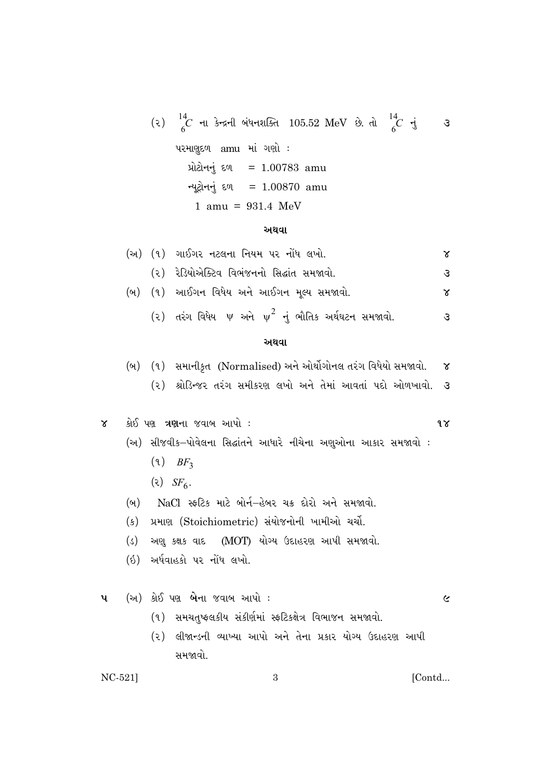(2) 
$$
{}_{6}^{14}C
$$
 -tl 3·x-tl 9449.196.105.52 MeV 3. d  ${}_{6}^{14}C$  -t 3  
424.198.9 amu 41.99.1 :  
34.24.198.9 amu 41.00783 amu  
34.24.194.198.1 amu 42.24.198.1 amu 42.24.198.1 amu 43.24.1 amu 45.94.1 amu 47.1 amu 48.1 amu 49.1 amu 49.1 amu 41.00870 amu 42.1 amu 43.1 amu 44.1 amu 45.1 amu 46.1 amu 47.1 amu 48.1 amu 49.1 amu 40.1 amu 41.1 amu 42.1 amu 43.1 amu 44.1 amu 45.1 amu 46.1 amu 47.1 amu 48.1 amu 49.1 amu 40.1 amu 41.1 amu 42.1 amu 43.1 amu 44.1 amu 45.1 amu 46.1 amu 47.1 amu 48.1 amu 49.1 amu 40.1 amu 41.1 amu 42.1 amu 43.1 amu 44.1 amu 45.1 amu 46.1 amu 47.1 amu 48.1 amu 49.1 amu 40.1 amu 41.1 amu 42.1 amu 43.1 amu 44.1 amu 45.1 amu 46.1 amu 47.1 amu 48.1 amu 49.1 amu 40.1 amu 41.1 amu 42.1 amu 43.1 amu 44.1 amu 45.1 amu 46.1 amu 47.1 amu 48.1 amu 49.1 amu 41.1 amu 42.1 amu 43.1 amu 45.1 amu 46.1 amu 47.1 amu 48.1 amu 49.1 amu 41.1 amu 43.1 amu 45.1 amu 46.1 amu 47.1 amu 48.1 amu 49.1 amu 45.1 amu 47.1 amu 49.1 amu 43.1 amu 45.

### અથવા

|  | (અ) (૧) ગાઈગર નટલના નિયમ પર નોંધ લખો.                        | x |
|--|--------------------------------------------------------------|---|
|  | (૨) રેડિયોએક્ટિવ વિભંજનનો સિદ્ધાંત સમજાવો.                   | З |
|  | (બ) (૧) આઈગન વિધેય અને આઈગન મુલ્ય સમજાવો.                    | x |
|  | (૨) તરંગ વિધેય $\psi$ અને $\psi^2$ નું ભૌતિક અર્થઘટન સમજાવો. | З |
|  | અથવા                                                         |   |

(બ) (૧) સમાનીકૃત (Normalised) અને ઓર્થોગોનલ તરંગ વિધેયો સમજાવો.  $\gamma$ (૨) શ્રોડિન્જર તરંગ સમીકરણ લખો અને તેમાં આવતાં પદો ઓળખાવો. 3

કોઈ પણ ત્રણના જવાબ આપો:  $\alpha$ 

- (અ) સીજવીક–પોવેલના સિદ્ધાંતને આધારે નીચેના અશુઓના આકાર સમજાવો :
	- $(9)$  BF<sub>3</sub>
	- $\left( \infty \right)$  SF<sub>6</sub>.
- \_\_\_<br>NaCl\_\_સ્કટિક\_માટે બોર્ન–હેબર ચક્ર દોરો અને સમજાવો.  $(\omega)$
- (ક) પ્રમાણ (Stoichiometric) સંયોજનોની ખામીઓ ચર્ચા.
- (ડ) અશુ કક્ષક વાદ (MOT) યોગ્ય ઉદાહરણ આપી સમજાવો.
- (ઇ) અર્ધવાહકો પર નોંધ લખો.
- (અ) કોઈ પણ **બે**ના જવાબ આપો : પ

 $\boldsymbol{\mathcal{C}}$ 

 $9\gamma$ 

- (१) समयतुष्क्ष्सडीय संडीर्शमां स्कटिडक्षेत्र विलाक्ष्म समक्षवो.
- (૨) લીજાન્ડની વ્યાખ્યા આપો અને તેના પ્રકાર યોગ્ય ઉદાહરણ આપી સમજાવો

 $\overline{3}$ 

 $NC-521]$ 

[Contd...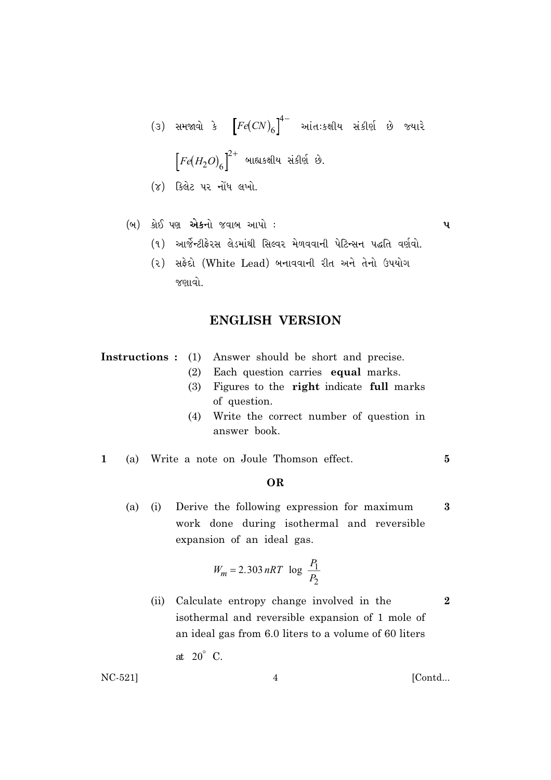- (૩) સમજાવો કે  $\left[Fe(CN)_6\right]^{4-}$  આંતઃકક્ષીય સંકીર્ણ છે જ્યારે  $\Big[Fe(H_2O)_6\Big]^{2+}$  બાહ્યકક્ષીય સંકીર્ણ છે.
- (૪) કિલેટ પર નોંધ લખો.
- (બ) કોઈ પણ એકનો જવાબ આપો:

 $\mathbf{u}$ 

 $\overline{5}$ 

 $\bf{3}$ 

 $\boldsymbol{2}$ 

- (૧) આર્જેન્ટીફેરસ લેડમાંથી સિલ્વર મેળવવાની પેટિન્સન પદ્ધતિ વર્ણવો.
- (૨) સફેદો (White Lead) બનાવવાની રીત અને તેનો ઉપયોગ જણાવો.

# **ENGLISH VERSION**

**Instructions**: (1) Answer should be short and precise.

- (2) Each question carries equal marks.
- (3) Figures to the right indicate full marks of question.
- (4) Write the correct number of question in answer book.
- (a) Write a note on Joule Thomson effect.  $\mathbf{1}$

## OR

 $(a)$  $(i)$ Derive the following expression for maximum work done during isothermal and reversible expansion of an ideal gas.

$$
W_m = 2.303 nRT \log \frac{P_1}{P_2}
$$

(ii) Calculate entropy change involved in the isothermal and reversible expansion of 1 mole of an ideal gas from 6.0 liters to a volume of 60 liters

at  $20^\circ$  C.

 $NC-521$ 

[Contd...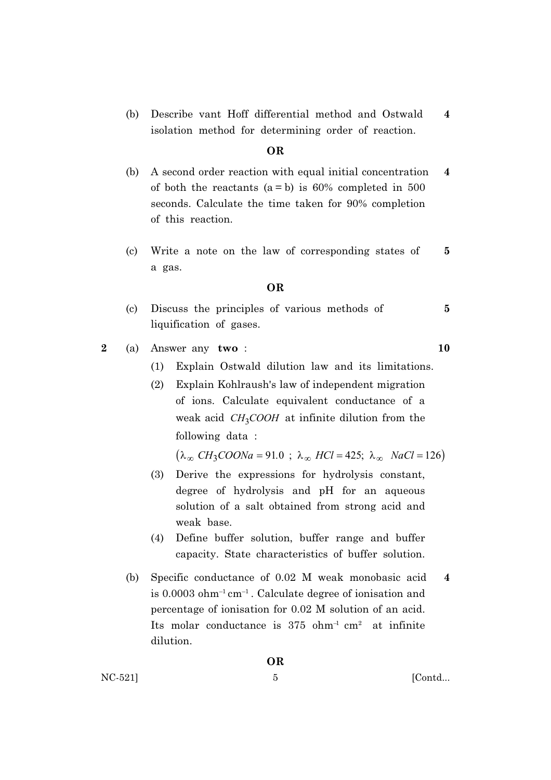(b) Describe vant Hoff differential method and Ostwald  $\overline{\mathbf{4}}$ isolation method for determining order of reaction.

### **OR**

- A second order reaction with equal initial concentration (b)  $\overline{\mathbf{4}}$ of both the reactants  $(a = b)$  is 60% completed in 500 seconds. Calculate the time taken for 90% completion of this reaction.
- Write a note on the law of corresponding states of  $\left( \text{c} \right)$ 5 a gas.

### **OR**

- Discuss the principles of various methods of  $\overline{5}$  $(c)$ liquification of gases.
- $\overline{2}$  $(a)$ Answer any two:
	- Explain Ostwald dilution law and its limitations.  $(1)$
	- $(2)$ Explain Kohlraush's law of independent migration of ions. Calculate equivalent conductance of a weak acid  $CH<sub>3</sub>COOH$  at infinite dilution from the following data:

 $(\lambda_{\infty} CH_3COONa = 91.0$ ;  $\lambda_{\infty} HCl = 425$ ;  $\lambda_{\infty} NaCl = 126)$ 

- Derive the expressions for hydrolysis constant,  $(3)$ degree of hydrolysis and pH for an aqueous solution of a salt obtained from strong acid and weak base.
- Define buffer solution, buffer range and buffer  $(4)$ capacity. State characteristics of buffer solution.
- Specific conductance of 0.02 M weak monobasic acid (b)  $\overline{\mathbf{4}}$ is  $0.0003$  ohm<sup>-1</sup> cm<sup>-1</sup>. Calculate degree of ionisation and percentage of ionisation for 0.02 M solution of an acid. Its molar conductance is  $375 \text{ ohm}^{-1} \text{ cm}^2$  at infinite dilution.

NC-521]

[Contd...

10

**OR**  $\overline{5}$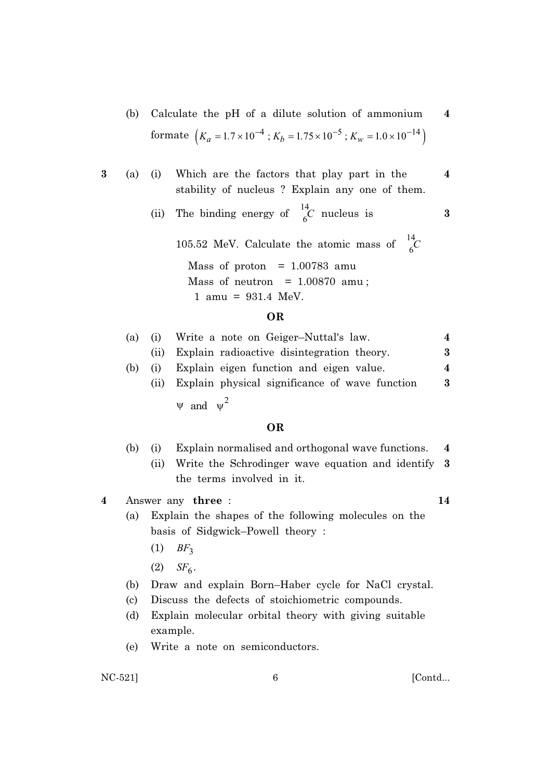- (b) Calculate the pH of a dilute solution of ammonium formate  $\left(K_a = 1.7 \times 10^{-4} : K_b = 1.75 \times 10^{-5} : K_w = 1.0 \times 10^{-14}\right)$
- $\bf{3}$  $(i)$ Which are the factors that play part in the  $(a)$ stability of nucleus? Explain any one of them.
	- The binding energy of  $\frac{14}{6}C$  nucleus is  $(ii)$

105.52 MeV. Calculate the atomic mass of  $^{14}_{6}$ C Mass of proton =  $1.00783$  amu

Mass of neutron =  $1.00870$  amu;

1 amu =  $931.4$  MeV.

### **OR**

| (a) |      | (1) Write a note on Geiger-Nuttal's law.       |   |
|-----|------|------------------------------------------------|---|
|     | (11) | Explain radioactive disintegration theory.     | 3 |
| (b) | (1)  | Explain eigen function and eigen value.        | 4 |
|     | (11) | Explain physical significance of wave function | 3 |
|     |      | $\psi$ and $\psi^2$                            |   |

### **OR**

- $(b)$ Explain normalised and orthogonal wave functions.  $(i)$  $\overline{\mathbf{4}}$ 
	- (ii) Write the Schrodinger wave equation and identify 3 the terms involved in it.

 $\boldsymbol{4}$ Answer any three: 14

4

 $\overline{\mathbf{4}}$ 

 $\bf{3}$ 

- Explain the shapes of the following molecules on the (a) basis of Sidgwick-Powell theory:
	- $(1)$  BF<sub>3</sub>
	- (2)  $SF_6$ .
- Draw and explain Born-Haber cycle for NaCl crystal. (b)
- $(c)$ Discuss the defects of stoichiometric compounds.
- Explain molecular orbital theory with giving suitable  $(d)$ example.
- Write a note on semiconductors. (e)

NC-521]

[Contd...

 $\overline{6}$